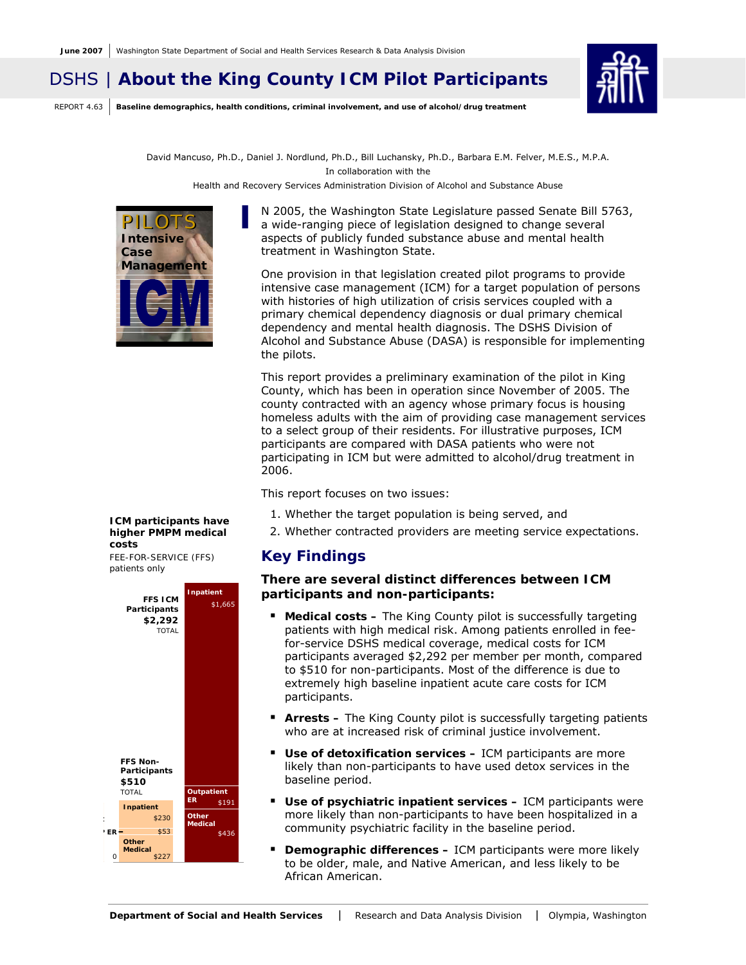# DSHS | **About the King County ICM Pilot Participants**

REPORT 4.63 **Baseline demographics, health conditions, criminal involvement, and use of alcohol/drug treatment**



David Mancuso, Ph.D., Daniel J. Nordlund, Ph.D., Bill Luchansky, Ph.D., Barbara E.M. Felver, M.E.S., M.P.A. In collaboration with the Health and Recovery Services Administration Division of Alcohol and Substance Abuse



N 2005, the Washington State Legislature passed Senate Bill 5763, a wide-ranging piece of legislation designed to change several aspects of publicly funded substance abuse and mental health treatment in Washington State.

One provision in that legislation created pilot programs to provide intensive case management (ICM) for a target population of persons with histories of high utilization of crisis services coupled with a primary chemical dependency diagnosis or dual primary chemical dependency and mental health diagnosis. The DSHS Division of Alcohol and Substance Abuse (DASA) is responsible for implementing the pilots.

This report provides a preliminary examination of the pilot in King County, which has been in operation since November of 2005. The county contracted with an agency whose primary focus is housing homeless adults with the aim of providing case management services to a select group of their residents. For illustrative purposes, ICM participants are compared with DASA patients who were not participating in ICM but were admitted to alcohol/drug treatment in 2006.

This report focuses on two issues:

- 1. Whether the target population is being served, and
- 2. Whether contracted providers are meeting service expectations.

# **Key Findings**

### **There are several distinct differences between ICM participants and non-participants:**

- **Medical costs** The King County pilot is successfully targeting patients with high medical risk. Among patients enrolled in feefor-service DSHS medical coverage, medical costs for ICM participants averaged \$2,292 per member per month, compared to \$510 for non-participants. Most of the difference is due to extremely high baseline inpatient acute care costs for ICM participants.
- **Arrests –** The King County pilot is successfully targeting patients who are at increased risk of criminal justice involvement.
- **Use of detoxification services** ICM participants are more likely than non-participants to have used detox services in the baseline period.
- \$191 **Use of psychiatric inpatient services –** ICM participants were more likely than non-participants to have been hospitalized in a community psychiatric facility in the baseline period.
	- **Demographic differences** ICM participants were more likely to be older, male, and Native American, and less likely to be African American.

#### *ICM participants have higher PMPM medical costs*

*FEE-FOR-SERVICE (FFS) patients only* 

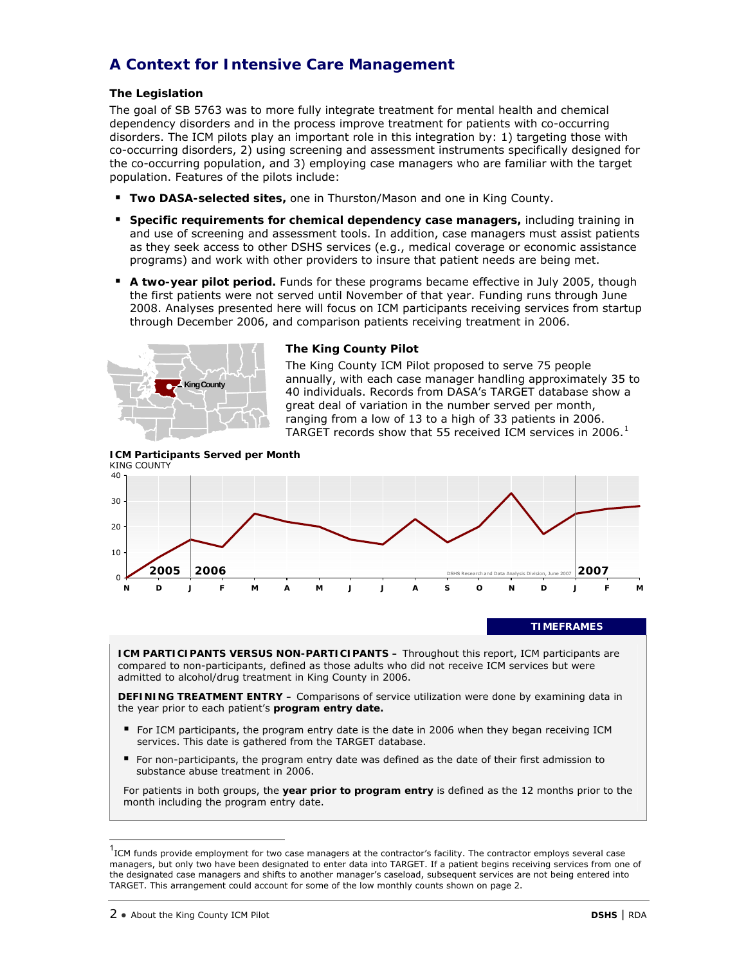# **A Context for Intensive Care Management**

## **The Legislation**

The goal of SB 5763 was to more fully integrate treatment for mental health and chemical dependency disorders and in the process improve treatment for patients with co-occurring disorders. The ICM pilots play an important role in this integration by: 1) targeting those with co-occurring disorders, 2) using screening and assessment instruments specifically designed for the co-occurring population, and 3) employing case managers who are familiar with the target population. Features of the pilots include:

- **Two DASA-selected sites,** one in Thurston/Mason and one in King County.
- **Specific requirements for chemical dependency case managers, including training in** and use of screening and assessment tools. In addition, case managers must assist patients as they seek access to other DSHS services (e.g., medical coverage or economic assistance programs) and work with other providers to insure that patient needs are being met.
- **A two-year pilot period.** Funds for these programs became effective in July 2005, though the first patients were not served until November of that year. Funding runs through June 2008. Analyses presented here will focus on ICM participants receiving services from startup through December 2006, and comparison patients receiving treatment in 2006.



### **The King County Pilot**

The King County ICM Pilot proposed to serve 75 people annually, with each case manager handling approximately 35 to 40 individuals. Records from DASA's TARGET database show a great deal of variation in the number served per month, ranging from a low of 13 to a high of 33 patients in 2006. TARGET records show that 55 received ICM services in 2006. $<sup>1</sup>$  $<sup>1</sup>$  $<sup>1</sup>$ </sup>

**ICM Participants Served per Month**  KING COUNTY



#### **TIMEFRAMES**

**ICM PARTICIPANTS VERSUS NON-PARTICIPANTS –** Throughout this report, ICM participants are compared to non-participants, defined as those adults who did not receive ICM services but were admitted to alcohol/drug treatment in King County in 2006.

**DEFINING TREATMENT ENTRY –** Comparisons of service utilization were done by examining data in the year prior to each patient's **program entry date.** 

- For ICM participants, the program entry date is the date in 2006 when they began receiving ICM services. This date is gathered from the TARGET database.
- For non-participants, the program entry date was defined as the date of their first admission to substance abuse treatment in 2006.

For patients in both groups, the **year prior to program entry** is defined as the 12 months prior to the month including the program entry date.

 $\overline{\phantom{a}}$ 

<span id="page-1-0"></span><sup>1</sup> ICM funds provide employment for two case managers at the contractor's facility. The contractor employs several case managers, but only two have been designated to enter data into TARGET. If a patient begins receiving services from one of the designated case managers and shifts to another manager's caseload, subsequent services are not being entered into TARGET. This arrangement could account for some of the low monthly counts shown on page 2.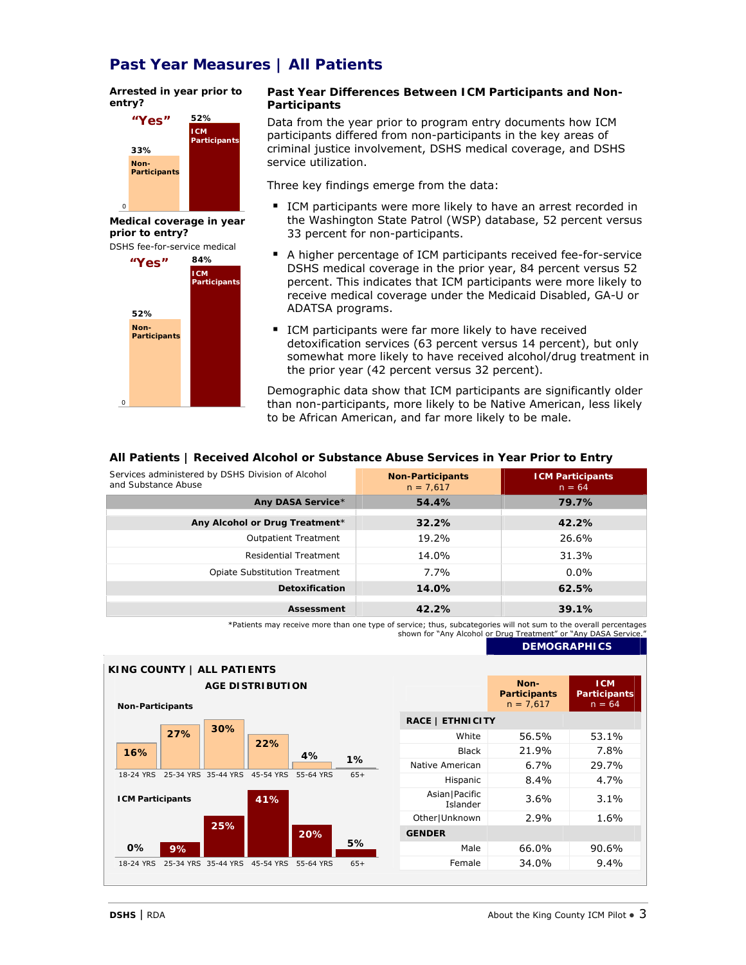# **Past Year Measures | All Patients**

#### *Arrested in year prior to entry?*



*Medical coverage in year prior to entry?* 



#### **Past Year Differences Between ICM Participants and Non-Participants**

Data from the year prior to program entry documents how ICM participants differed from non-participants in the key areas of criminal justice involvement, DSHS medical coverage, and DSHS service utilization.

Three key findings emerge from the data:

- ICM participants were more likely to have an arrest recorded in the Washington State Patrol (WSP) database, 52 percent versus 33 percent for non-participants.
- A higher percentage of ICM participants received fee-for-service DSHS medical coverage in the prior year, 84 percent versus 52 percent. This indicates that ICM participants were more likely to receive medical coverage under the Medicaid Disabled, GA-U or ADATSA programs.
- **ICM** participants were far more likely to have received detoxification services (63 percent versus 14 percent), but only somewhat more likely to have received alcohol/drug treatment in the prior year (42 percent versus 32 percent).

Demographic data show that ICM participants are significantly older than non-participants, more likely to be Native American, less likely to be African American, and far more likely to be male.

### **All Patients | Received Alcohol or Substance Abuse Services in Year Prior to Entry**

| Services administered by DSHS Division of Alcohol<br>and Substance Abuse | <b>Non-Participants</b><br>$n = 7.617$ | <b>ICM Participants</b><br>$n = 64$ |
|--------------------------------------------------------------------------|----------------------------------------|-------------------------------------|
| Any DASA Service*                                                        | 54.4%                                  | 79.7%                               |
| Any Alcohol or Drug Treatment*                                           | 32.2%                                  | 42.2%                               |
| <b>Outpatient Treatment</b>                                              | 19.2%                                  | 26.6%                               |
| <b>Residential Treatment</b>                                             | 14.0%                                  | 31.3%                               |
| <b>Opiate Substitution Treatment</b>                                     | 7.7%                                   | $0.0\%$                             |
| <b>Detoxification</b>                                                    | 14.0%                                  | 62.5%                               |
| <b>Assessment</b>                                                        | 42.2%                                  | 39.1%                               |

\*Patients may receive more than one type of service; thus, subcategories will not sum to the overall percentages shown for "Any Alcohol or Drug Treatment" or "Any DASA Servic

### **DEMOGRAPHICS**

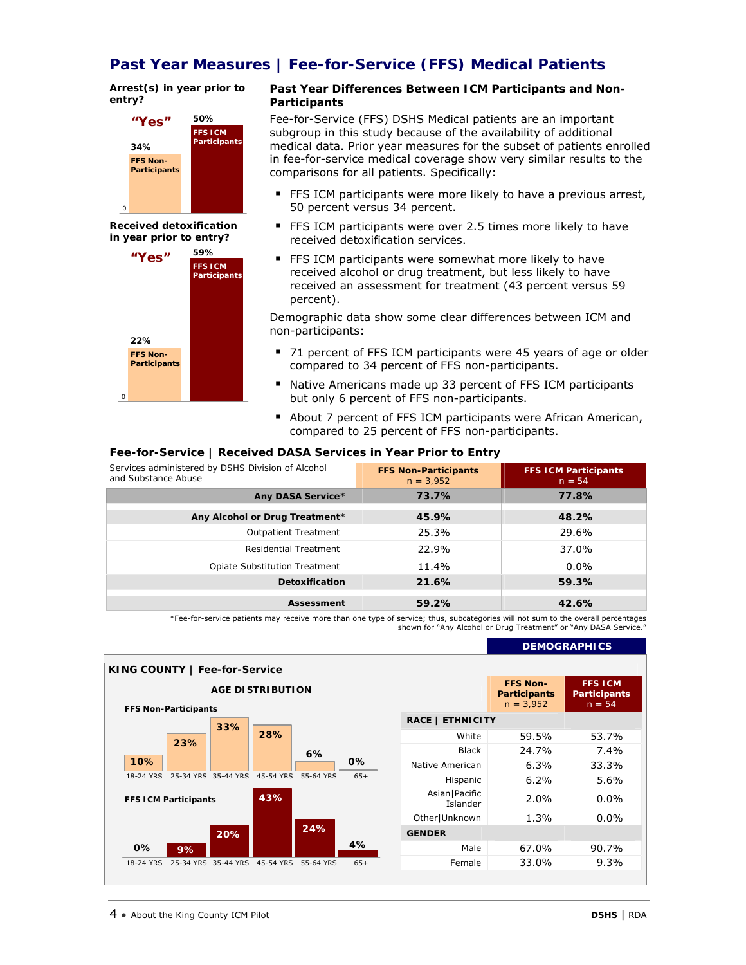# **Past Year Measures | Fee-for-Service (FFS) Medical Patients**

*Arrest(s) in year prior to entry?* 



*Received detoxification in year prior to entry?* 



#### **Past Year Differences Between ICM Participants and Non-Participants**

Fee-for-Service (FFS) DSHS Medical patients are an important subgroup in this study because of the availability of additional medical data. Prior year measures for the subset of patients enrolled in fee-for-service medical coverage show very similar results to the comparisons for all patients. Specifically:

- FFS ICM participants were more likely to have a previous arrest, 50 percent versus 34 percent.
- FFS ICM participants were over 2.5 times more likely to have received detoxification services.
- FFS ICM participants were somewhat more likely to have received alcohol or drug treatment, but less likely to have received an assessment for treatment (43 percent versus 59 percent).

Demographic data show some clear differences between ICM and non-participants:

- 71 percent of FFS ICM participants were 45 years of age or older compared to 34 percent of FFS non-participants.
- Native Americans made up 33 percent of FFS ICM participants but only 6 percent of FFS non-participants.
- About 7 percent of FFS ICM participants were African American, compared to 25 percent of FFS non-participants.

#### **Fee-for-Service | Received DASA Services in Year Prior to Entry**

| Services administered by DSHS Division of Alcohol<br>and Substance Abuse | <b>FFS Non-Participants</b><br>$n = 3.952$ | <b>FFS ICM Participants</b><br>$n = 54$ |
|--------------------------------------------------------------------------|--------------------------------------------|-----------------------------------------|
| Any DASA Service*                                                        | 73.7%                                      | 77.8%                                   |
| Any Alcohol or Drug Treatment*                                           | 45.9%                                      | 48.2%                                   |
| <b>Outpatient Treatment</b>                                              | 25.3%                                      | 29.6%                                   |
| <b>Residential Treatment</b>                                             | 22.9%                                      | 37.0%                                   |
| <b>Opiate Substitution Treatment</b>                                     | 11.4%                                      | $0.0\%$                                 |
| Detoxification                                                           | 21.6%                                      | 59.3%                                   |
| Assessment                                                               | 59.2%                                      | 42.6%                                   |

\*Fee-for-service patients may receive more than one type of service; thus, subcategories will not sum to the overall percentages shown for "Any Alcohol or Drug Treatment" or "Any DASA Service."

| KING COUNTY   Fee-for-Service      |     |                             |           |         |                         |                                                       |                                                   |
|------------------------------------|-----|-----------------------------|-----------|---------|-------------------------|-------------------------------------------------------|---------------------------------------------------|
| <b>FFS Non-Participants</b>        |     | <b>AGE DISTRIBUTION</b>     |           |         |                         | <b>FFS Non-</b><br><b>Participants</b><br>$n = 3,952$ | <b>FFS ICM</b><br><b>Participants</b><br>$n = 54$ |
|                                    | 33% |                             |           |         | <b>RACE   ETHNICITY</b> |                                                       |                                                   |
| 23%                                |     | 28%                         |           |         | White                   | 59.5%                                                 | 53.7%                                             |
|                                    |     |                             | 6%        |         | <b>Black</b>            | 24.7%                                                 | $7.4\%$                                           |
| 10%                                |     |                             |           | 0%      | Native American         | $6.3\%$                                               | 33.3%                                             |
| 18-24 YRS<br>25-34 YRS 35-44 YRS   |     | 45-54 YRS                   | 55-64 YRS | $65+$   | Hispanic                | $6.2\%$                                               | 5.6%                                              |
| 43%<br><b>FFS ICM Participants</b> |     | Asian   Pacific<br>Islander | 2.0%      | $0.0\%$ |                         |                                                       |                                                   |
|                                    |     |                             |           |         | Other Unknown           | 1.3%                                                  | $0.0\%$                                           |
|                                    | 20% |                             | 24%       |         | <b>GENDER</b>           |                                                       |                                                   |
| 0%<br>9%                           |     |                             |           | 4%      | Male                    | 67.0%                                                 | 90.7%                                             |
| 25-34 YRS 35-44 YRS<br>18-24 YRS   |     | 45-54 YRS                   | 55-64 YRS | $65+$   | Female                  | 33.0%                                                 | 9.3%                                              |

**DEMOGRAPHICS**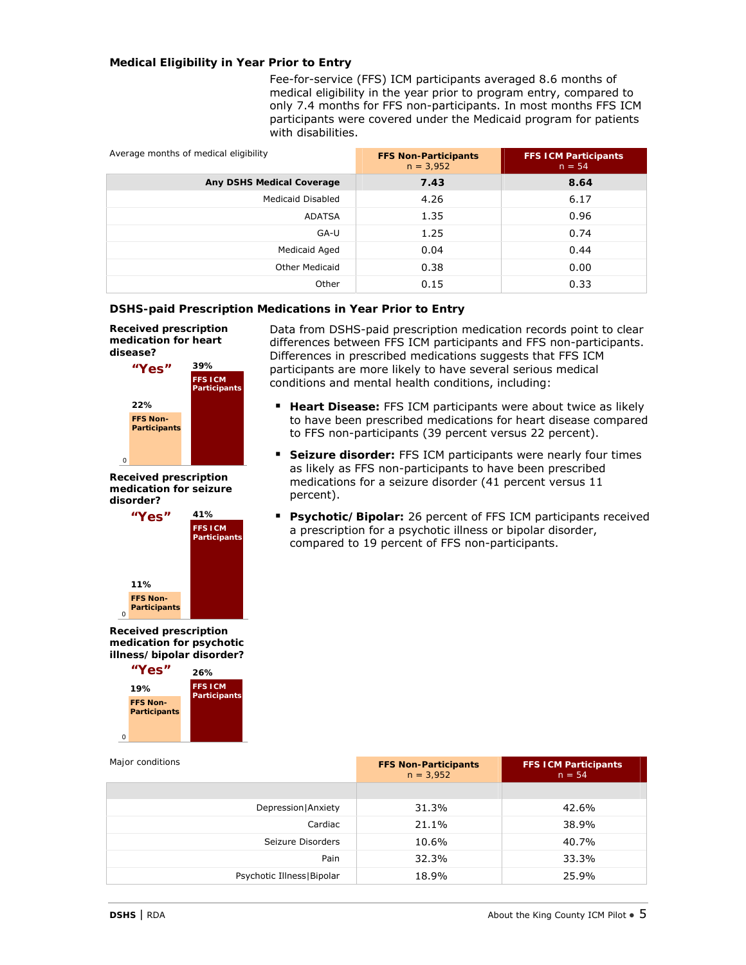### **Medical Eligibility in Year Prior to Entry**

Fee-for-service (FFS) ICM participants averaged 8.6 months of medical eligibility in the year prior to program entry, compared to only 7.4 months for FFS non-participants. In most months FFS ICM participants were covered under the Medicaid program for patients with disabilities.

| Average months of medical eligibility | <b>FFS Non-Participants</b><br>$n = 3.952$ | <b>FFS ICM Participants</b><br>$n = 54$ |
|---------------------------------------|--------------------------------------------|-----------------------------------------|
| <b>Any DSHS Medical Coverage</b>      | 7.43                                       | 8.64                                    |
| <b>Medicaid Disabled</b>              | 4.26                                       | 6.17                                    |
| ADATSA                                | 1.35                                       | 0.96                                    |
| GA-U                                  | 1.25                                       | 0.74                                    |
| Medicaid Aged                         | 0.04                                       | 0.44                                    |
| <b>Other Medicaid</b>                 | 0.38                                       | 0.00                                    |
| Other                                 | 0.15                                       | 0.33                                    |

#### **DSHS-paid Prescription Medications in Year Prior to Entry**

*Received prescription medication for heart disease?* 



*Received prescription medication for seizure disorder?* 



*Received prescription medication for psychotic illness/bipolar disorder?* 



Data from DSHS-paid prescription medication records point to clear differences between FFS ICM participants and FFS non-participants. Differences in prescribed medications suggests that FFS ICM participants are more likely to have several serious medical conditions and mental health conditions, including:

- **Heart Disease:** FFS ICM participants were about twice as likely to have been prescribed medications for heart disease compared to FFS non-participants (39 percent versus 22 percent).
- **Seizure disorder:** FFS ICM participants were nearly four times as likely as FFS non-participants to have been prescribed medications for a seizure disorder (41 percent versus 11 percent).
- **Psychotic/Bipolar:** 26 percent of FFS ICM participants received a prescription for a psychotic illness or bipolar disorder, compared to 19 percent of FFS non-participants.

| Major conditions            | <b>FFS Non-Participants</b><br>$n = 3,952$ | <b>FFS ICM Participants</b><br>$n = 54$ |
|-----------------------------|--------------------------------------------|-----------------------------------------|
|                             |                                            |                                         |
| Depression   Anxiety        | 31.3%                                      | 42.6%                                   |
| Cardiac                     | 21.1%                                      | 38.9%                                   |
| Seizure Disorders           | 10.6%                                      | 40.7%                                   |
| Pain                        | 32.3%                                      | 33.3%                                   |
| Psychotic Illness   Bipolar | 18.9%                                      | 25.9%                                   |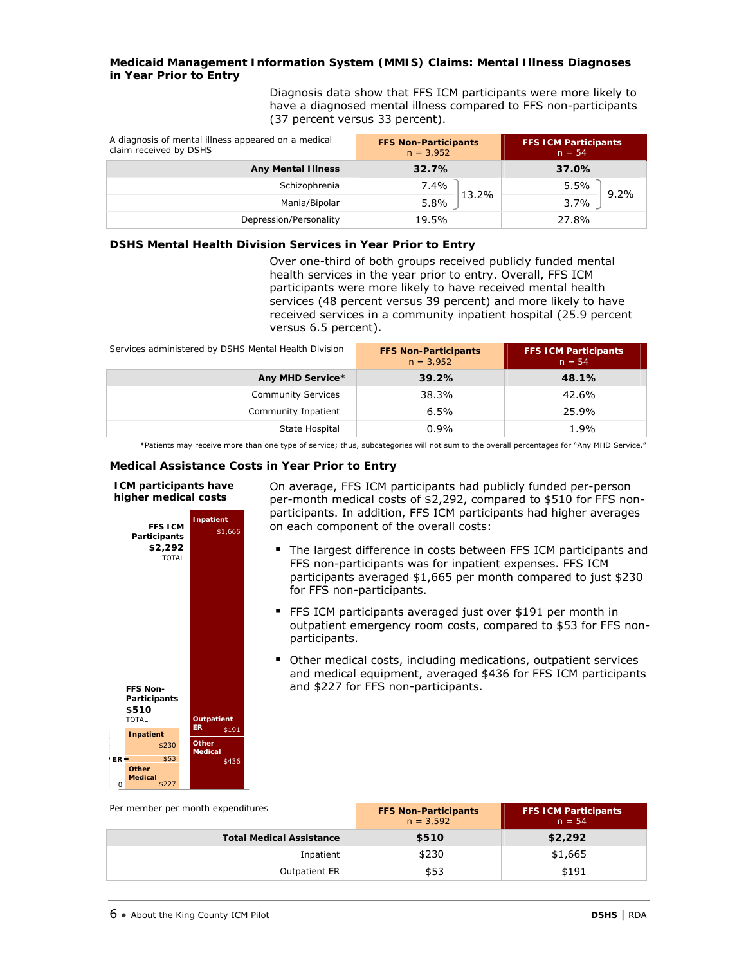#### **Medicaid Management Information System (MMIS) Claims: Mental Illness Diagnoses in Year Prior to Entry**

Diagnosis data show that FFS ICM participants were more likely to have a diagnosed mental illness compared to FFS non-participants (37 percent versus 33 percent).

| A diagnosis of mental illness appeared on a medical<br>claim received by DSHS | <b>FFS Non-Participants</b><br>$n = 3.952$ | <b>FFS ICM Participants</b><br>$n = 54$ |  |
|-------------------------------------------------------------------------------|--------------------------------------------|-----------------------------------------|--|
| <b>Any Mental Illness</b>                                                     | 32.7%                                      | 37.0%                                   |  |
| Schizophrenia                                                                 | 7.4%                                       | 5.5%<br>$9.2\%$                         |  |
| Mania/Bipolar                                                                 | 13.2%<br>5.8%                              | 3.7%                                    |  |
| Depression/Personality                                                        | 19.5%                                      | 27.8%                                   |  |

#### **DSHS Mental Health Division Services in Year Prior to Entry**

Over one-third of both groups received publicly funded mental health services in the year prior to entry. Overall, FFS ICM participants were more likely to have received mental health services (48 percent versus 39 percent) and more likely to have received services in a community inpatient hospital (25.9 percent versus 6.5 percent).

| Services administered by DSHS Mental Health Division | <b>FFS Non-Participants</b><br>$n = 3.952$ | <b>FFS ICM Participants</b><br>$n = 54$ |
|------------------------------------------------------|--------------------------------------------|-----------------------------------------|
| Any MHD Service*                                     | 39.2%                                      | 48.1%                                   |
| <b>Community Services</b>                            | 38.3%                                      | 42.6%                                   |
| Community Inpatient                                  | 6.5%                                       | 25.9%                                   |
| State Hospital                                       | $0.9\%$                                    | 1.9%                                    |

\*Patients may receive more than one type of service; thus, subcategories will not sum to the overall percentages for "Any MHD Service."

#### **Medical Assistance Costs in Year Prior to Entry**

#### *ICM participants have higher medical costs*



On average, FFS ICM participants had publicly funded per-person per-month medical costs of \$2,292, compared to \$510 for FFS nonparticipants. In addition, FFS ICM participants had higher averages on each component of the overall costs:

- The largest difference in costs between FFS ICM participants and FFS non-participants was for inpatient expenses. FFS ICM participants averaged \$1,665 per month compared to just \$230 for FFS non-participants.
- FFS ICM participants averaged just over \$191 per month in outpatient emergency room costs, compared to \$53 for FFS nonparticipants.
- Other medical costs, including medications, outpatient services and medical equipment, averaged \$436 for FFS ICM participants and \$227 for FFS non-participants.

| Per member per month expenditures | <b>FFS Non-Participants</b><br>$n = 3.592$ | <b>FFS ICM Participants</b><br>$n = 54$ |
|-----------------------------------|--------------------------------------------|-----------------------------------------|
| <b>Total Medical Assistance</b>   | \$510                                      | \$2,292                                 |
| Inpatient                         | \$230                                      | \$1,665                                 |
| <b>Outpatient ER</b>              | \$53                                       | \$191                                   |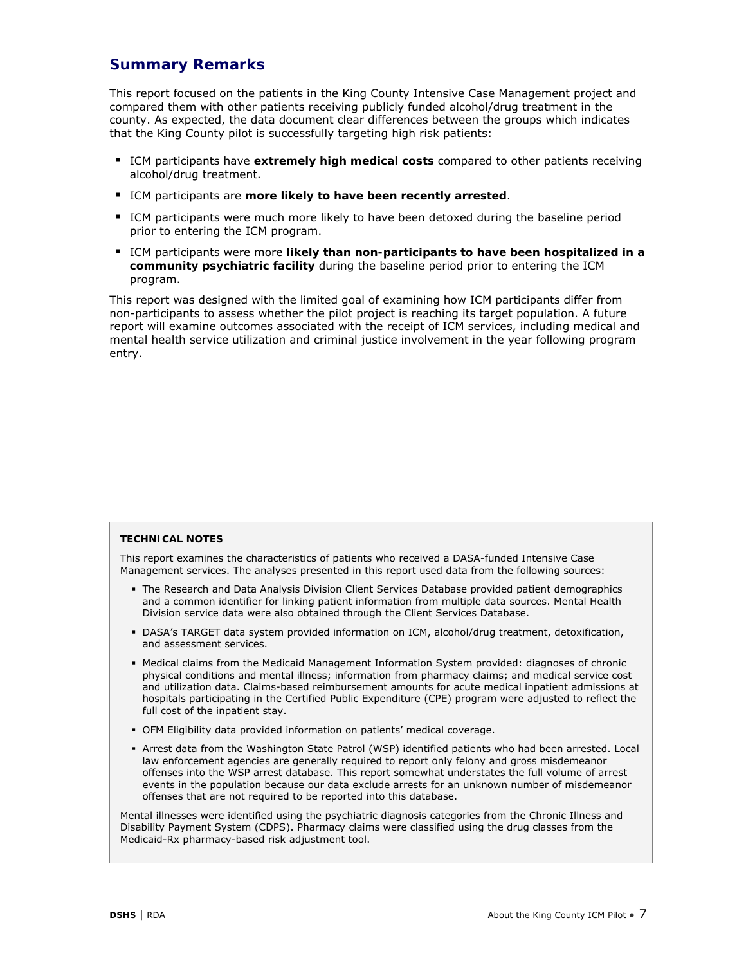# **Summary Remarks**

This report focused on the patients in the King County Intensive Case Management project and compared them with other patients receiving publicly funded alcohol/drug treatment in the county. As expected, the data document clear differences between the groups which indicates that the King County pilot is successfully targeting high risk patients:

- **ICM participants have extremely high medical costs** compared to other patients receiving alcohol/drug treatment.
- ICM participants are **more likely to have been recently arrested**.
- **ICM** participants were much more likely to have been detoxed during the baseline period prior to entering the ICM program.
- ICM participants were more likely than non-participants to have been hospitalized in a **community psychiatric facility** during the baseline period prior to entering the ICM program.

This report was designed with the limited goal of examining how ICM participants differ from non-participants to assess whether the pilot project is reaching its target population. A future report will examine outcomes associated with the receipt of ICM services, including medical and mental health service utilization and criminal justice involvement in the year following program entry.

#### **TECHNICAL NOTES**

This report examines the characteristics of patients who received a DASA-funded Intensive Case Management services. The analyses presented in this report used data from the following sources:

- The Research and Data Analysis Division Client Services Database provided patient demographics and a common identifier for linking patient information from multiple data sources. Mental Health Division service data were also obtained through the Client Services Database.
- DASA's TARGET data system provided information on ICM, alcohol/drug treatment, detoxification, and assessment services.
- Medical claims from the Medicaid Management Information System provided: diagnoses of chronic physical conditions and mental illness; information from pharmacy claims; and medical service cost and utilization data. Claims-based reimbursement amounts for acute medical inpatient admissions at hospitals participating in the Certified Public Expenditure (CPE) program were adjusted to reflect the full cost of the inpatient stay.
- OFM Eligibility data provided information on patients' medical coverage.
- Arrest data from the Washington State Patrol (WSP) identified patients who had been arrested. Local law enforcement agencies are generally required to report only felony and gross misdemeanor offenses into the WSP arrest database. This report somewhat understates the full volume of arrest events in the population because our data exclude arrests for an unknown number of misdemeanor offenses that are not required to be reported into this database.

Mental illnesses were identified using the psychiatric diagnosis categories from the Chronic Illness and Disability Payment System (CDPS). Pharmacy claims were classified using the drug classes from the Medicaid-Rx pharmacy-based risk adjustment tool.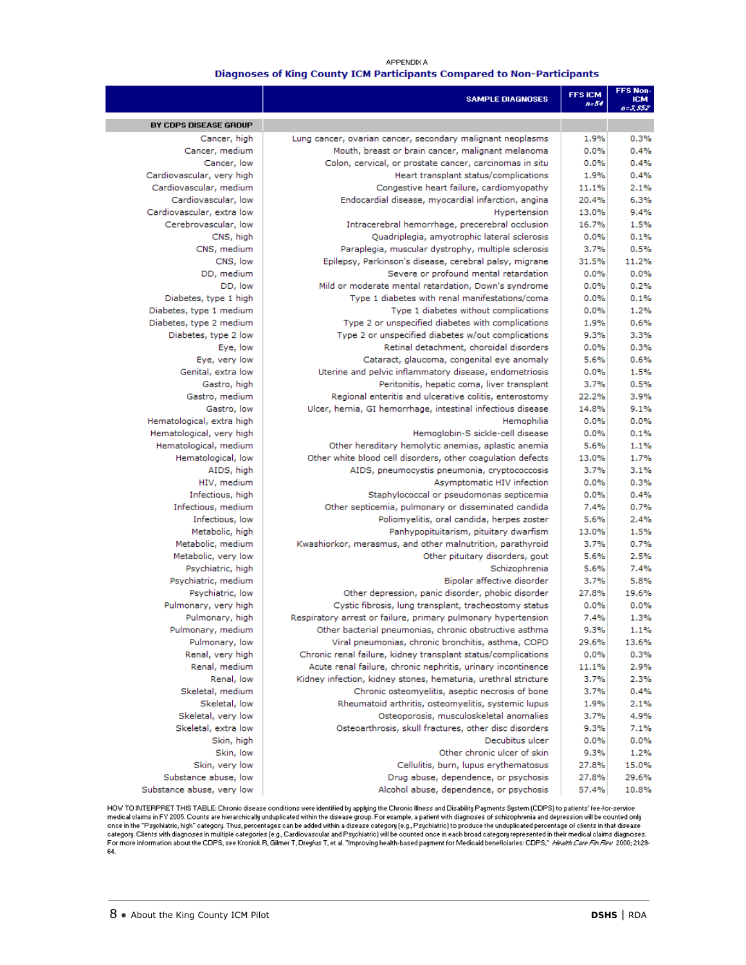#### APPENDIX A Diagnoses of King County ICM Participants Compared to Non-Participants

|                                                 | <b>SAMPLE DIAGNOSES</b>                                                                                             | <b>FFSICM</b><br>$n = 54$ | <b>FFS Non-</b><br><b>ICM</b><br>$B = 3, 552$ |
|-------------------------------------------------|---------------------------------------------------------------------------------------------------------------------|---------------------------|-----------------------------------------------|
| BY CDPS DISEASE GROUP                           |                                                                                                                     |                           |                                               |
| Cancer, high                                    | Lung cancer, ovarian cancer, secondary malignant neoplasms                                                          | 1.9%                      | 0.3%                                          |
| Cancer, medium                                  | Mouth, breast or brain cancer, malignant melanoma                                                                   | 0.0%                      | 0.4%                                          |
| Cancer, low                                     | Colon, cervical, or prostate cancer, carcinomas in situ                                                             | 0.0%                      | 0.4%                                          |
| Cardiovascular, very high                       | Heart transplant status/complications                                                                               | 1.9%                      | 0.4%                                          |
| Cardiovascular, medium                          | Congestive heart failure, cardiomyopathy                                                                            | 11.1%                     | 2.1%                                          |
| Cardiovascular, low                             | Endocardial disease, myocardial infarction, angina                                                                  | 20.4%                     | 6.3%                                          |
| Cardiovascular, extra low                       | Hypertension                                                                                                        | 13.0%                     | 9.4%                                          |
| Cerebrovascular, low                            | Intracerebral hemorrhage, precerebral occlusion                                                                     | 16.7%                     | 1.5%                                          |
| CNS, high                                       | Quadriplegia, amyotrophic lateral sclerosis                                                                         | 0.0%                      | 0.1%                                          |
| CNS, medium                                     | Paraplegia, muscular dystrophy, multiple sclerosis                                                                  | 3.7%                      | 0.5%                                          |
| CNS, low                                        | Epilepsy, Parkinson's disease, cerebral palsy, migrane                                                              | 31.5%                     | 11.2%                                         |
| DD, medium                                      | Severe or profound mental retardation                                                                               | 0.0%                      | 0.0%                                          |
| DD, low                                         | Mild or moderate mental retardation, Down's syndrome                                                                | 0.0%                      | 0.2%                                          |
| Diabetes, type 1 high                           | Type 1 diabetes with renal manifestations/coma                                                                      | 0.0%                      | 0.1%                                          |
| Diabetes, type 1 medium                         | Type 1 diabetes without complications                                                                               | 0.0%                      | 1.2%                                          |
| Diabetes, type 2 medium<br>Diabetes, type 2 low | Type 2 or unspecified diabetes with complications<br>Type 2 or unspecified diabetes w/out complications             | 1.9%<br>9.3%              | 0.6%<br>3.3%                                  |
| Eye, low                                        | Retinal detachment, choroidal disorders                                                                             | 0.0%                      | 0.3%                                          |
| Eye, very low                                   | Cataract, glaucoma, congenital eye anomaly                                                                          | 5.6%                      | 0.6%                                          |
| Genital, extra low                              | Uterine and pelvic inflammatory disease, endometriosis                                                              | 0.0%                      | 1.5%                                          |
| Gastro, high                                    | Peritonitis, hepatic coma, liver transplant                                                                         | 3.7%                      | 0.5%                                          |
| Gastro, medium                                  | Regional enteritis and ulcerative colitis, enterostomy                                                              | 22.2%                     | 3.9%                                          |
| Gastro, low                                     | Ulcer, hernia, GI hemorrhage, intestinal infectious disease                                                         | 14.8%                     | 9.1%                                          |
| Hematological, extra high                       | Hemophilia                                                                                                          | 0.0%                      | 0.0%                                          |
| Hematological, very high                        | Hemoglobin-S sickle-cell disease                                                                                    | 0.0%                      | 0.1%                                          |
| Hematological, medium                           | Other hereditary hemolytic anemias, aplastic anemia                                                                 | 5.6%                      | 1.1%                                          |
| Hematological, low                              | Other white blood cell disorders, other coagulation defects                                                         | 13.0%                     | 1.7%                                          |
| AIDS, high                                      | AIDS, pneumocystis pneumonia, cryptococcosis                                                                        | 3.7%                      | 3.1%                                          |
| HIV, medium                                     | Asymptomatic HIV infection                                                                                          | 0.0%                      | 0.3%                                          |
| Infectious, high                                | Staphylococcal or pseudomonas septicemia                                                                            | 0.0%                      | 0.4%                                          |
| Infectious, medium                              | Other septicemia, pulmonary or disseminated candida                                                                 | 7.4%                      | 0.7%                                          |
| Infectious, low                                 | Poliomyelitis, oral candida, herpes zoster                                                                          | 5.6%                      | 2.4%                                          |
| Metabolic, high                                 | Panhypopituitarism, pituitary dwarfism                                                                              | 13.0%                     | 1.5%                                          |
| Metabolic, medium                               | Kwashiorkor, merasmus, and other malnutrition, parathyroid                                                          | 3.7%                      | 0.7%                                          |
| Metabolic, very low                             | Other pituitary disorders, gout                                                                                     | 5.6%                      | 2.5%                                          |
| Psychiatric, high                               | Schizophrenia                                                                                                       | 5.6%                      | 7.4%                                          |
| Psychiatric, medium                             | Bipolar affective disorder                                                                                          | 3.7%                      | 5.8%                                          |
| Psychiatric, low                                | Other depression, panic disorder, phobic disorder                                                                   | 27.8%                     | 19.6%                                         |
| Pulmonary, very high                            | Cystic fibrosis, lung transplant, tracheostomy status                                                               | 0.0%                      | 0.0%                                          |
| Pulmonary, high                                 | Respiratory arrest or failure, primary pulmonary hypertension                                                       | 7.4%                      | 1.3%                                          |
| Pulmonary, medium                               | Other bacterial pneumonias, chronic obstructive asthma                                                              | 9.3%                      | 1.1%                                          |
| Pulmonary, low                                  | Viral pneumonias, chronic bronchitis, asthma, COPD<br>Chronic renal failure, kidney transplant status/complications | 29.6%                     | 13.6%                                         |
| Renal, very high<br>Renal, medium               | Acute renal failure, chronic nephritis, urinary incontinence                                                        | 0.0%                      | 0.3%                                          |
| Renal, low                                      | Kidney infection, kidney stones, hematuria, urethral stricture                                                      | 11.1%<br>3.7%             | 2.9%<br>2.3%                                  |
| Skeletal, medium                                | Chronic osteomyelitis, aseptic necrosis of bone                                                                     | 3.7%                      | 0.4%                                          |
| Skeletal, low                                   | Rheumatoid arthritis, osteomyelitis, systemic lupus                                                                 | 1.9%                      | 2.1%                                          |
| Skeletal, very low                              | Osteoporosis, musculoskeletal anomalies                                                                             | 3.7%                      | 4.9%                                          |
| Skeletal, extra low                             | Osteoarthrosis, skull fractures, other disc disorders                                                               | 9.3%                      | 7.1%                                          |
| Skin, high                                      | Decubitus ulcer                                                                                                     | 0.0%                      | 0.0%                                          |
| Skin, low                                       | Other chronic ulcer of skin                                                                                         | 9.3%                      | 1.2%                                          |
| Skin, very low                                  | Cellulitis, burn, lupus erythematosus                                                                               | 27.8%                     | 15.0%                                         |
| Substance abuse, low                            | Drug abuse, dependence, or psychosis                                                                                | 27.8%                     | 29.6%                                         |
| Substance abuse, very low                       | Alcohol abuse, dependence, or psychosis                                                                             | 57.4%                     | 10.8%                                         |
|                                                 |                                                                                                                     |                           |                                               |

HOW TO INTERPRET THIS TABLE: Chronic disease conditions were identified by applying the Chronic Illness and Disability Payments System (CDPS) to patients' fee-for-service<br>medical claims in FY 2005. Counts are hierarchicall 64.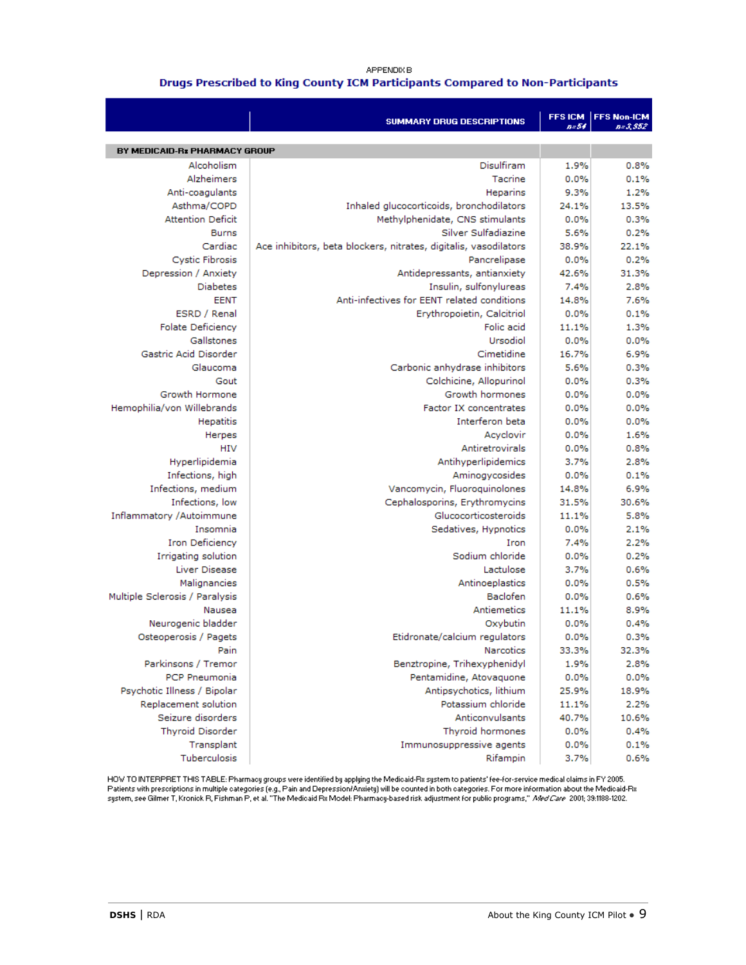#### APPENDIX B Drugs Prescribed to King County ICM Participants Compared to Non-Participants

|                                | <b>SUMMARY DRUG DESCRIPTIONS</b>                                 | <b>FFSICM</b><br>n=54 | <b>FFS Non-ICM</b><br>$B = 3,552$ |
|--------------------------------|------------------------------------------------------------------|-----------------------|-----------------------------------|
| BY MEDICAID-Rz PHARMACY GROUP  |                                                                  |                       |                                   |
| Alcoholism                     | Disulfiram                                                       | 1.9%                  | 0.8%                              |
| Alzheimers                     | Tacrine                                                          | 0.0%                  | 0.1%                              |
| Anti-coagulants                | Heparins                                                         | 9.3%                  | 1.2%                              |
| Asthma/COPD                    | Inhaled glucocorticoids, bronchodilators                         | 24.1%                 | 13.5%                             |
| <b>Attention Deficit</b>       | Methylphenidate, CNS stimulants                                  | 0.0%                  | 0.3%                              |
| <b>Burns</b>                   | Silver Sulfadiazine                                              | 5.6%                  | 0.2%                              |
| Cardiac                        | Ace inhibitors, beta blockers, nitrates, digitalis, vasodilators | 38.9%                 | 22.1%                             |
| <b>Cystic Fibrosis</b>         | Pancrelipase                                                     | 0.0%                  | 0.2%                              |
| Depression / Anxiety           | Antidepressants, antianxiety                                     | 42.6%                 | 31.3%                             |
| <b>Diabetes</b>                | Insulin, sulfonylureas                                           | 7.4%                  | 2.8%                              |
| <b>EENT</b>                    | Anti-infectives for EENT related conditions                      | 14.8%                 | 7.6%                              |
| ESRD / Renal                   | Erythropoietin, Calcitriol                                       | 0.0%                  | 0.1%                              |
| <b>Folate Deficiency</b>       | Folic acid                                                       | 11.1%                 | 1.3%                              |
| Gallstones                     | Ursodiol                                                         | 0.0%                  | 0.0%                              |
| Gastric Acid Disorder          | Cimetidine                                                       | 16.7%                 | 6.9%                              |
| Glaucoma                       | Carbonic anhydrase inhibitors                                    | 5.6%                  | 0.3%                              |
| Gout                           | Colchicine, Allopurinol                                          | 0.0%                  | 0.3%                              |
| Growth Hormone                 | Growth hormones                                                  | 0.0%                  | 0.0%                              |
| Hemophilia/von Willebrands     | Factor IX concentrates                                           | 0.0%                  | 0.0%                              |
| Hepatitis                      | Interferon beta                                                  | 0.0%                  | 0.0%                              |
| Herpes                         | Acyclovir                                                        | 0.0%                  | 1.6%                              |
| <b>HIV</b>                     | Antiretrovirals                                                  | 0.0%                  | 0.8%                              |
| Hyperlipidemia                 | Antihyperlipidemics                                              | 3.7%                  | 2.8%                              |
| Infections, high               | Aminogycosides                                                   | 0.0%                  | 0.1%                              |
| Infections, medium             | Vancomycin, Fluoroquinolones                                     | 14.8%                 | 6.9%                              |
| Infections, low                | Cephalosporins, Erythromycins                                    | 31.5%                 | 30.6%                             |
| Inflammatory /Autoimmune       | Glucocorticosteroids                                             | 11.1%                 | 5.8%                              |
| Insomnia                       | Sedatives, Hypnotics                                             | 0.0%                  | 2.1%                              |
| <b>Iron Deficiency</b>         | Iron                                                             | 7.4%                  | 2.2%                              |
| Irrigating solution            | Sodium chloride                                                  | 0.0%                  | 0.2%                              |
| Liver Disease                  | Lactulose                                                        | 3.7%                  | 0.6%                              |
| Malignancies                   | Antinoeplastics                                                  | 0.0%                  | 0.5%                              |
| Multiple Sclerosis / Paralysis | Baclofen                                                         | 0.0%                  | 0.6%                              |
| Nausea                         | Antiemetics                                                      | 11.1%                 | 8.9%                              |
| Neurogenic bladder             | Oxybutin                                                         | 0.0%                  | 0.4%                              |
| Osteoperosis / Pagets          | Etidronate/calcium regulators                                    | 0.0%                  | 0.3%                              |
| Pain                           | Narcotics                                                        | 33.3%                 | 32.3%                             |
| Parkinsons / Tremor            | Benztropine, Trihexyphenidyl                                     | 1.9%                  | 2.8%                              |
| <b>PCP Pneumonia</b>           | Pentamidine, Atovaquone                                          | 0.0%                  | 0.0%                              |
| Psychotic Illness / Bipolar    | Antipsychotics, lithium                                          | 25.9%                 | 18.9%                             |
| Replacement solution           | Potassium chloride                                               | 11.1%                 | 2.2%                              |
| Seizure disorders              | Anticonvulsants                                                  | 40.7%                 | 10.6%                             |
| <b>Thyroid Disorder</b>        | Thyroid hormones                                                 | 0.0%                  | 0.4%                              |
| Transplant                     | Immunosuppressive agents                                         | 0.0%                  | 0.1%                              |
| Tuberculosis                   | Rifampin                                                         | 3.7%                  | 0.6%                              |

HOW TO INTERPRET THIS TABLE: Pharmacy groups were identified by applying the Medicaid-Rx system to patients' fee-for-service medical claims in FY 2005.<br>Patients with prescriptions in multiple categories (e.g., Pain and Dep